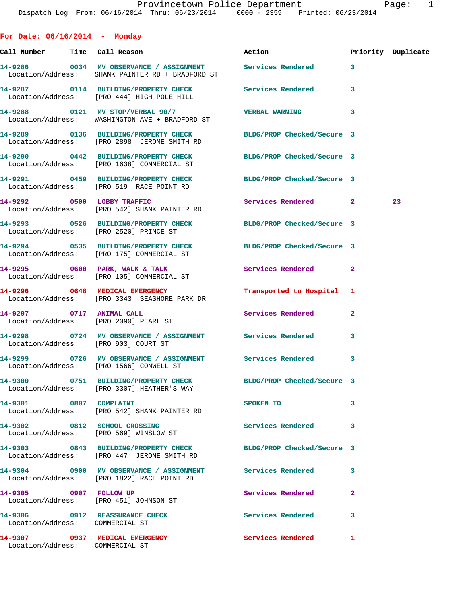**For Date: 06/16/2014 - Monday Call Number Time Call Reason Action Priority Duplicate 14-9286 0034 MV OBSERVANCE / ASSIGNMENT Services Rendered 3**  Location/Address: SHANK PAINTER RD + BRADFORD ST **14-9287 0114 BUILDING/PROPERTY CHECK Services Rendered 3**  Location/Address: [PRO 444] HIGH POLE HILL **14-9288 0121 MV STOP/VERBAL 90/7 VERBAL WARNING 3**  Location/Address: WASHINGTON AVE + BRADFORD ST **14-9289 0136 BUILDING/PROPERTY CHECK BLDG/PROP Checked/Secure 3**  Location/Address: [PRO 2898] JEROME SMITH RD **14-9290 0442 BUILDING/PROPERTY CHECK BLDG/PROP Checked/Secure 3**  Location/Address: [PRO 1638] COMMERCIAL ST **14-9291 0459 BUILDING/PROPERTY CHECK BLDG/PROP Checked/Secure 3**  Location/Address: [PRO 519] RACE POINT RD **14-9292 0500 LOBBY TRAFFIC Services Rendered 2 23**  Location/Address: [PRO 542] SHANK PAINTER RD **14-9293 0526 BUILDING/PROPERTY CHECK BLDG/PROP Checked/Secure 3**  Location/Address: [PRO 2520] PRINCE ST **14-9294 0535 BUILDING/PROPERTY CHECK BLDG/PROP Checked/Secure 3**  Location/Address: [PRO 175] COMMERCIAL ST **14-9295 0600 PARK, WALK & TALK Services Rendered 2**  Location/Address: [PRO 105] COMMERCIAL ST **14-9296 0648 MEDICAL EMERGENCY Transported to Hospital 1**  Location/Address: [PRO 3343] SEASHORE PARK DR **14-9297 0717 ANIMAL CALL Services Rendered 2**  Location/Address: [PRO 2090] PEARL ST **14-9298 0724 MV OBSERVANCE / ASSIGNMENT Services Rendered 3**  Location/Address: [PRO 903] COURT ST **14-9299 0726 MV OBSERVANCE / ASSIGNMENT Services Rendered 3**  Location/Address: [PRO 1566] CONWELL ST **14-9300 0751 BUILDING/PROPERTY CHECK BLDG/PROP Checked/Secure 3**  Location/Address: [PRO 3307] HEATHER'S WAY **14-9301 0807 COMPLAINT SPOKEN TO 3**  Location/Address: [PRO 542] SHANK PAINTER RD **14-9302 0812 SCHOOL CROSSING Services Rendered 3**  Location/Address: [PRO 569] WINSLOW ST **14-9303 0843 BUILDING/PROPERTY CHECK BLDG/PROP Checked/Secure 3**  Location/Address: [PRO 447] JEROME SMITH RD **14-9304 0900 MV OBSERVANCE / ASSIGNMENT Services Rendered 3**  Location/Address: [PRO 1822] RACE POINT RD **14-9305 0907 FOLLOW UP Services Rendered 2**  Location/Address: [PRO 451] JOHNSON ST **14-9306 0912 REASSURANCE CHECK Services Rendered 3**  Location/Address: COMMERCIAL ST

Location/Address: COMMERCIAL ST

**14-9307 0937 MEDICAL EMERGENCY Services Rendered 1**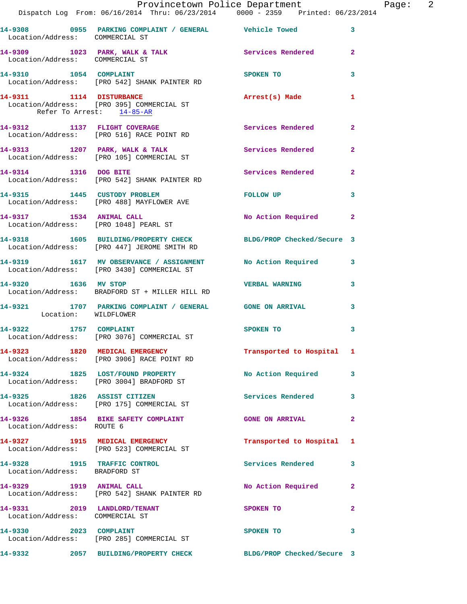|                                                                 | Dispatch Log From: 06/16/2014 Thru: 06/23/2014   0000 - 2359   Printed: 06/23/2014                             | Provincetown Police Department The Page: 2 |                |
|-----------------------------------------------------------------|----------------------------------------------------------------------------------------------------------------|--------------------------------------------|----------------|
| Location/Address: COMMERCIAL ST                                 | 14-9308 6955 PARKING COMPLAINT / GENERAL Vehicle Towed                                                         |                                            | 3              |
| Location/Address: COMMERCIAL ST                                 | 14-9309 1023 PARK, WALK & TALK 1988 Services Rendered                                                          |                                            | $\mathbf{2}$   |
|                                                                 |                                                                                                                | SPOKEN TO                                  | 3              |
| Refer To Arrest: 14-85-AR                                       | 14-9311 1114 DISTURBANCE Arrest(s) Made<br>Location/Address: [PRO 395] COMMERCIAL ST                           |                                            | $\mathbf{1}$   |
|                                                                 | 14-9312 1137 FLIGHT COVERAGE<br>Location/Address: [PRO 516] RACE POINT RD                                      | Services Rendered 2                        |                |
|                                                                 | 14-9313 1207 PARK, WALK & TALK 1998 Services Rendered<br>Location/Address: [PRO 105] COMMERCIAL ST             |                                            | $\overline{2}$ |
|                                                                 | 14-9314 1316 DOG BITE<br>Location/Address: [PRO 542] SHANK PAINTER RD                                          | Services Rendered 2                        |                |
|                                                                 | 14-9315 1445 CUSTODY PROBLEM FOLLOW UP<br>Location/Address: [PRO 488] MAYFLOWER AVE                            |                                            | 3              |
|                                                                 | 14-9317 1534 ANIMAL CALL<br>Location/Address: [PRO 1048] PEARL ST                                              | No Action Required 2                       |                |
|                                                                 | 14-9318 1605 BUILDING/PROPERTY CHECK BLDG/PROP Checked/Secure 3<br>Location/Address: [PRO 447] JEROME SMITH RD |                                            |                |
|                                                                 | 14-9319 1617 MV OBSERVANCE / ASSIGNMENT No Action Required 3<br>Location/Address: [PRO 3430] COMMERCIAL ST     |                                            |                |
|                                                                 | 14-9320 1636 MV STOP<br>Location/Address: BRADFORD ST + MILLER HILL RD                                         | <b>VERBAL WARNING</b>                      | 3              |
| Location: WILDFLOWER                                            | 14-9321 1707 PARKING COMPLAINT / GENERAL GONE ON ARRIVAL                                                       |                                            | 3              |
|                                                                 | 14-9322 1757 COMPLAINT<br>Location/Address: [PRO 3076] COMMERCIAL ST                                           | SPOKEN TO                                  | 3              |
|                                                                 | 14-9323 1820 MEDICAL EMERGENCY<br>Location/Address: [PRO 3906] RACE POINT RD                                   | Transported to Hospital 1                  |                |
|                                                                 | 14-9324 1825 LOST/FOUND PROPERTY<br>Location/Address: [PRO 3004] BRADFORD ST                                   | No Action Required                         | 3              |
|                                                                 | 14-9325 1826 ASSIST CITIZEN<br>Location/Address: [PRO 175] COMMERCIAL ST                                       | Services Rendered 3                        |                |
| Location/Address: ROUTE 6                                       | 14-9326 1854 BIKE SAFETY COMPLAINT GONE ON ARRIVAL                                                             |                                            | $\mathbf{2}$   |
|                                                                 | 14-9327 1915 MEDICAL EMERGENCY<br>Location/Address: [PRO 523] COMMERCIAL ST                                    | Transported to Hospital 1                  |                |
| Location/Address: BRADFORD ST                                   | 14-9328 1915 TRAFFIC CONTROL                                                                                   | <b>Services Rendered</b>                   | 3              |
|                                                                 | 14-9329 1919 ANIMAL CALL<br>Location/Address: [PRO 542] SHANK PAINTER RD                                       | No Action Required                         | $\overline{2}$ |
| 14-9331 2019 LANDLORD/TENANT<br>Location/Address: COMMERCIAL ST |                                                                                                                | SPOKEN TO                                  | $\overline{2}$ |
|                                                                 | 14-9330 2023 COMPLAINT<br>Location/Address: [PRO 285] COMMERCIAL ST                                            | SPOKEN TO                                  | 3              |
|                                                                 | 14-9332 2057 BUILDING/PROPERTY CHECK                                                                           | BLDG/PROP Checked/Secure 3                 |                |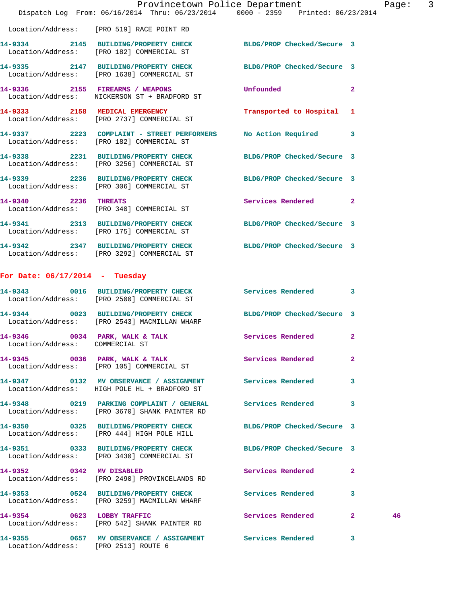|                                                | Dispatch Log From: 06/16/2014 Thru: 06/23/2014 0000 - 2359 Printed: 06/23/2014                                  | Provincetown Police Department The Rage: 3 |                    |
|------------------------------------------------|-----------------------------------------------------------------------------------------------------------------|--------------------------------------------|--------------------|
|                                                | Location/Address: [PRO 519] RACE POINT RD                                                                       |                                            |                    |
|                                                | 14-9334 2145 BUILDING/PROPERTY CHECK BLDG/PROP Checked/Secure 3<br>Location/Address: [PRO 182] COMMERCIAL ST    |                                            |                    |
|                                                | 14-9335 2147 BUILDING/PROPERTY CHECK BLDG/PROP Checked/Secure 3<br>Location/Address: [PRO 1638] COMMERCIAL ST   |                                            |                    |
|                                                | 14-9336 2155 FIREARMS / WEAPONS<br>Location/Address: NICKERSON ST + BRADFORD ST                                 | <b>Unfounded</b>                           | $\mathbf{2}$       |
|                                                | 14-9333 2158 MEDICAL EMERGENCY<br>Location/Address: [PRO 2737] COMMERCIAL ST                                    | Transported to Hospital 1                  |                    |
|                                                | 14-9337 2223 COMPLAINT - STREET PERFORMERS No Action Required 3<br>Location/Address: [PRO 182] COMMERCIAL ST    |                                            |                    |
|                                                | 14-9338 2231 BUILDING/PROPERTY CHECK BLDG/PROP Checked/Secure 3<br>Location/Address: [PRO 3256] COMMERCIAL ST   |                                            |                    |
|                                                | 14-9339 2236 BUILDING/PROPERTY CHECK BLDG/PROP Checked/Secure 3<br>Location/Address: [PRO 306] COMMERCIAL ST    |                                            |                    |
| 14-9340 2236 THREATS                           | Location/Address: [PRO 340] COMMERCIAL ST                                                                       | Services Rendered                          | $\mathbf{2}$       |
|                                                | 14-9341 2313 BUILDING/PROPERTY CHECK BLDG/PROP Checked/Secure 3<br>Location/Address: [PRO 175] COMMERCIAL ST    |                                            |                    |
|                                                | 14-9342 2347 BUILDING/PROPERTY CHECK BLDG/PROP Checked/Secure 3<br>Location/Address: [PRO 3292] COMMERCIAL ST   |                                            |                    |
| For Date: $06/17/2014$ - Tuesday               |                                                                                                                 |                                            |                    |
|                                                | 14-9343 0016 BUILDING/PROPERTY CHECK Services Rendered<br>Location/Address: [PRO 2500] COMMERCIAL ST            |                                            | 3                  |
|                                                | 14-9344 0023 BUILDING/PROPERTY CHECK BLDG/PROP Checked/Secure 3<br>Location/Address: [PRO 2543] MACMILLAN WHARF |                                            |                    |
| $14 - 9346$<br>Location/Address: COMMERCIAL ST | 0034 PARK, WALK & TALK                                                                                          | Services Rendered                          | $\mathbf{2}$       |
|                                                | 14-9345 0036 PARK, WALK & TALK<br>Location/Address: [PRO 105] COMMERCIAL ST                                     | <b>Services Rendered</b>                   | $\mathbf{2}$       |
|                                                | 14-9347 0132 MV OBSERVANCE / ASSIGNMENT Services Rendered<br>Location/Address: HIGH POLE HL + BRADFORD ST       |                                            | 3                  |
|                                                | 14-9348 0219 PARKING COMPLAINT / GENERAL<br>Location/Address: [PRO 3670] SHANK PAINTER RD                       | Services Rendered                          | 3                  |
|                                                | 14-9350 0325 BUILDING/PROPERTY CHECK<br>Location/Address: [PRO 444] HIGH POLE HILL                              | BLDG/PROP Checked/Secure 3                 |                    |
|                                                | 14-9351 0333 BUILDING/PROPERTY CHECK BLDG/PROP Checked/Secure 3<br>Location/Address: [PRO 3430] COMMERCIAL ST   |                                            |                    |
|                                                | 14-9352 0342 MV DISABLED<br>Location/Address: [PRO 2490] PROVINCELANDS RD                                       | Services Rendered                          | 2                  |
|                                                | 14-9353 0524 BUILDING/PROPERTY CHECK Services Rendered<br>Location/Address: [PRO 3259] MACMILLAN WHARF          |                                            | 3                  |
|                                                | 14-9354 0623 LOBBY TRAFFIC<br>Location/Address: [PRO 542] SHANK PAINTER RD                                      | Services Rendered                          | $\mathbf{2}$<br>46 |
|                                                | 14-9355 0657 MV OBSERVANCE / ASSIGNMENT Services Rendered                                                       |                                            | 3                  |

Location/Address: [PRO 2513] ROUTE 6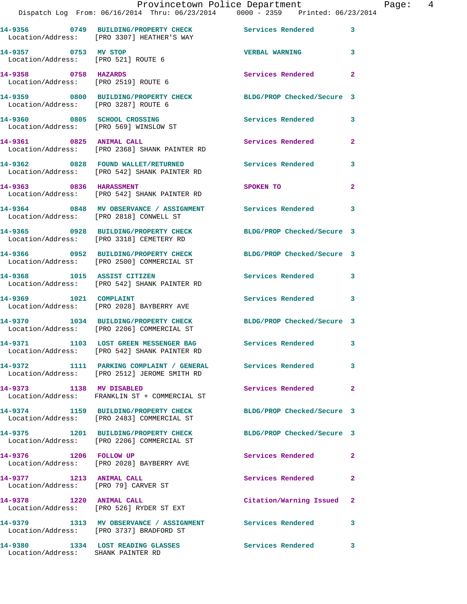|                                                              | Provincetown Police Department<br>Dispatch Log From: 06/16/2014 Thru: 06/23/2014 0000 - 2359 Printed: 06/23/2014 |                            |                |
|--------------------------------------------------------------|------------------------------------------------------------------------------------------------------------------|----------------------------|----------------|
|                                                              | 14-9356 0749 BUILDING/PROPERTY CHECK Services Rendered<br>Location/Address: [PRO 3307] HEATHER'S WAY             |                            | 3              |
| 14-9357 0753 MV STOP<br>Location/Address: [PRO 521] ROUTE 6  |                                                                                                                  | <b>VERBAL WARNING</b>      | 3              |
| 14-9358 0758 HAZARDS<br>Location/Address: [PRO 2519] ROUTE 6 |                                                                                                                  | Services Rendered          | $\mathbf{2}$   |
| Location/Address: [PRO 3287] ROUTE 6                         | 14-9359 0800 BUILDING/PROPERTY CHECK BLDG/PROP Checked/Secure 3                                                  |                            |                |
| 14-9360 0805 SCHOOL CROSSING                                 | Location/Address: [PRO 569] WINSLOW ST                                                                           | Services Rendered          | 3              |
|                                                              | 14-9361 0825 ANIMAL CALL<br>Location/Address: [PRO 2368] SHANK PAINTER RD                                        | <b>Services Rendered</b>   | $\overline{2}$ |
|                                                              | Location/Address: [PRO 542] SHANK PAINTER RD                                                                     |                            | 3              |
|                                                              | 14-9363 0836 HARASSMENT<br>Location/Address: [PRO 542] SHANK PAINTER RD                                          | SPOKEN TO                  | $\overline{2}$ |
| Location/Address: [PRO 2818] CONWELL ST                      | 14-9364 0848 MV OBSERVANCE / ASSIGNMENT Services Rendered                                                        |                            | 3              |
|                                                              | 14-9365 0928 BUILDING/PROPERTY CHECK<br>Location/Address: [PRO 3318] CEMETERY RD                                 | BLDG/PROP Checked/Secure 3 |                |
|                                                              | 14-9366 0952 BUILDING/PROPERTY CHECK BLDG/PROP Checked/Secure 3<br>Location/Address: [PRO 2500] COMMERCIAL ST    |                            |                |
|                                                              | 14-9368 1015 ASSIST CITIZEN<br>Location/Address: [PRO 542] SHANK PAINTER RD                                      | <b>Services Rendered</b>   | 3              |
| 14-9369 1021 COMPLAINT                                       | Location/Address: [PRO 2028] BAYBERRY AVE                                                                        | Services Rendered          | 3              |
|                                                              | 14-9370 1034 BUILDING/PROPERTY CHECK<br>Location/Address: [PRO 2206] COMMERCIAL ST                               | BLDG/PROP Checked/Secure 3 |                |
| 14-9371                                                      | 1103 LOST GREEN MESSENGER BAG<br>Location/Address: [PRO 542] SHANK PAINTER RD                                    | Services Rendered          | 3              |
|                                                              | 14-9372 1111 PARKING COMPLAINT / GENERAL<br>Location/Address: [PRO 2512] JEROME SMITH RD                         | Services Rendered          | 3              |
| 14-9373 1138 MV DISABLED                                     | Location/Address: FRANKLIN ST + COMMERCIAL ST                                                                    | Services Rendered          | $\overline{2}$ |
|                                                              | 14-9374 1159 BUILDING/PROPERTY CHECK<br>Location/Address: [PRO 2483] COMMERCIAL ST                               | BLDG/PROP Checked/Secure 3 |                |
| 14-9375                                                      | 1201 BUILDING/PROPERTY CHECK<br>Location/Address: [PRO 2206] COMMERCIAL ST                                       | BLDG/PROP Checked/Secure 3 |                |
| 14-9376<br>1206                                              | <b>FOLLOW UP</b>                                                                                                 | Services Rendered          | $\mathbf{2}$   |

Location/Address: [PRO 2028] BAYBERRY AVE

**14-9377 1213 ANIMAL CALL Services Rendered 2**  Location/Address: [PRO 79] CARVER ST

Location/Address: [PRO 526] RYDER ST EXT

**14-9379 1313 MV OBSERVANCE / ASSIGNMENT Services Rendered 3**  Location/Address: [PRO 3737] BRADFORD ST

Location/Address: SHANK PAINTER RD

**14-9380 1334 LOST READING GLASSES Services Rendered 3** 

**14-9378 1220 ANIMAL CALL Citation/Warning Issued 2**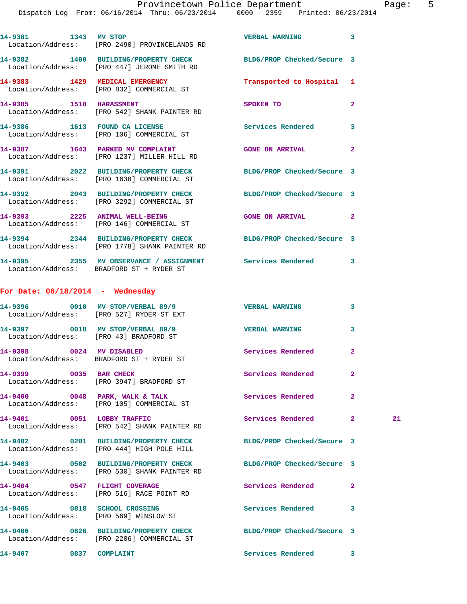|                                    | 14-9381 1343 MV STOP<br>Location/Address: [PRO 2490] PROVINCELANDS RD                                            | VERBAL WARNING 3           |                |    |
|------------------------------------|------------------------------------------------------------------------------------------------------------------|----------------------------|----------------|----|
|                                    | 14-9382 1400 BUILDING/PROPERTY CHECK BLDG/PROP Checked/Secure 3<br>Location/Address: [PRO 447] JEROME SMITH RD   |                            |                |    |
|                                    | 14-9383 1429 MEDICAL EMERGENCY<br>Location/Address: [PRO 832] COMMERCIAL ST                                      | Transported to Hospital 1  |                |    |
|                                    | 14-9385 1518 HARASSMENT<br>Location/Address: [PRO 542] SHANK PAINTER RD                                          | SPOKEN TO                  | 2              |    |
|                                    | 14-9386 1613 FOUND CA LICENSE<br>Location/Address: [PRO 106] COMMERCIAL ST                                       | Services Rendered          | 3              |    |
|                                    | 14-9387 1643 PARKED MV COMPLAINT<br>Location/Address: [PRO 1237] MILLER HILL RD                                  | <b>GONE ON ARRIVAL</b>     | $\overline{2}$ |    |
|                                    | 14-9391 2022 BUILDING/PROPERTY CHECK BLDG/PROP Checked/Secure 3<br>Location/Address: [PRO 1638] COMMERCIAL ST    |                            |                |    |
|                                    | 14-9392 2043 BUILDING/PROPERTY CHECK BLDG/PROP Checked/Secure 3<br>Location/Address: [PRO 3292] COMMERCIAL ST    |                            |                |    |
|                                    | 14-9393 2225 ANIMAL WELL-BEING<br>Location/Address: [PRO 146] COMMERCIAL ST                                      | GONE ON ARRIVAL 2          |                |    |
|                                    | 14-9394 2344 BUILDING/PROPERTY CHECK BLDG/PROP Checked/Secure 3<br>Location/Address: [PRO 1778] SHANK PAINTER RD |                            |                |    |
|                                    | Location/Address: BRADFORD ST + RYDER ST                                                                         |                            |                |    |
| For Date: $06/18/2014$ - Wednesday |                                                                                                                  |                            |                |    |
|                                    | 14-9396 0010 MV STOP/VERBAL 89/9 VERBAL WARNING<br>Location/Address: [PRO 527] RYDER ST EXT                      |                            | 3              |    |
|                                    | 14-9397 0018 MV STOP/VERBAL 89/9<br>Location/Address: [PRO 43] BRADFORD ST                                       | <b>VERBAL WARNING</b>      | 3              |    |
|                                    | 14-9398 0024 MV DISABLED<br>Location/Address: BRADFORD ST + RYDER ST                                             | Services Rendered          | $\overline{2}$ |    |
| 14-9399 0035 BAR CHECK             | Location/Address: [PRO 3947] BRADFORD ST                                                                         | Services Rendered          | $\mathbf{2}$   |    |
|                                    | $14-9400$ 0048 PARK, WALK & TALK<br>Location/Address: [PRO 105] COMMERCIAL ST                                    | Services Rendered          | $\mathbf{2}$   |    |
| 14-9401 0051 LOBBY TRAFFIC         | Location/Address: [PRO 542] SHANK PAINTER RD                                                                     | Services Rendered          | $\mathbf{2}$   | 21 |
|                                    | 14-9402 0201 BUILDING/PROPERTY CHECK<br>Location/Address: [PRO 444] HIGH POLE HILL                               | BLDG/PROP Checked/Secure 3 |                |    |
|                                    | 14-9403 0502 BUILDING/PROPERTY CHECK<br>Location/Address: [PRO 530] SHANK PAINTER RD                             | BLDG/PROP Checked/Secure 3 |                |    |
|                                    | 14-9404 0547 FLIGHT COVERAGE<br>Location/Address: [PRO 516] RACE POINT RD                                        | Services Rendered          | $\mathbf{2}$   |    |
| 14-9405 0818 SCHOOL CROSSING       | Location/Address: [PRO 569] WINSLOW ST                                                                           | Services Rendered          | 3              |    |
|                                    | 14-9406 0826 BUILDING/PROPERTY CHECK<br>Location/Address: [PRO 2206] COMMERCIAL ST                               | BLDG/PROP Checked/Secure 3 |                |    |
| 14-9407 0837 COMPLAINT             |                                                                                                                  | Services Rendered 3        |                |    |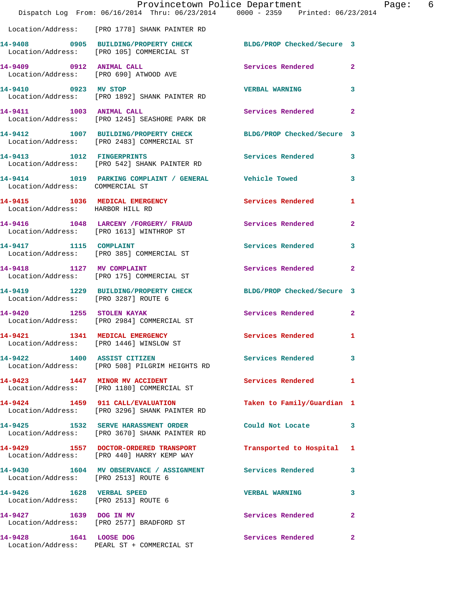|                                                                         | Provincetown Police Department<br>Dispatch Log From: 06/16/2014 Thru: 06/23/2014 0000 - 2359 Printed: 06/23/2014 |                            |                |
|-------------------------------------------------------------------------|------------------------------------------------------------------------------------------------------------------|----------------------------|----------------|
|                                                                         | Location/Address: [PRO 1778] SHANK PAINTER RD                                                                    |                            |                |
|                                                                         | 14-9408 0905 BUILDING/PROPERTY CHECK<br>Location/Address: [PRO 105] COMMERCIAL ST                                | BLDG/PROP Checked/Secure 3 |                |
| 14-9409 0912 ANIMAL CALL                                                | Location/Address: [PRO 690] ATWOOD AVE                                                                           | Services Rendered          | $\overline{a}$ |
| 14-9410 0923 MV STOP                                                    | Location/Address: [PRO 1892] SHANK PAINTER RD                                                                    | <b>VERBAL WARNING</b>      | 3              |
|                                                                         | 14-9411 1003 ANIMAL CALL<br>Location/Address: [PRO 1245] SEASHORE PARK DR                                        | Services Rendered          | $\overline{a}$ |
|                                                                         | 14-9412 1007 BUILDING/PROPERTY CHECK<br>Location/Address: [PRO 2483] COMMERCIAL ST                               | BLDG/PROP Checked/Secure 3 |                |
|                                                                         | 14-9413 1012 FINGERPRINTS<br>Location/Address: [PRO 542] SHANK PAINTER RD                                        | Services Rendered          | 3              |
| Location/Address: COMMERCIAL ST                                         | 14-9414 1019 PARKING COMPLAINT / GENERAL Vehicle Towed                                                           |                            | 3              |
| Location/Address: HARBOR HILL RD                                        | 14-9415 1036 MEDICAL EMERGENCY                                                                                   | Services Rendered          | 1              |
|                                                                         | 14-9416 1048 LARCENY / FORGERY / FRAUD<br>Location/Address: [PRO 1613] WINTHROP ST                               | Services Rendered          | $\mathbf{2}$   |
|                                                                         | 14-9417 1115 COMPLAINT<br>Location/Address: [PRO 385] COMMERCIAL ST                                              | Services Rendered          | 3              |
| 14-9418 1127 MV COMPLAINT                                               | Location/Address: [PRO 175] COMMERCIAL ST                                                                        | Services Rendered          | $\mathbf{2}$   |
| Location/Address: [PRO 3287] ROUTE 6                                    | 14-9419 1229 BUILDING/PROPERTY CHECK                                                                             | BLDG/PROP Checked/Secure 3 |                |
|                                                                         | 14-9420 1255 STOLEN KAYAK<br>Location/Address: [PRO 2984] COMMERCIAL ST                                          | Services Rendered          | $\overline{a}$ |
| 14-9421 1341 MEDICAL EMERGENCY                                          | Location/Address: [PRO 1446] WINSLOW ST                                                                          | Services Rendered          | 1              |
| 14-9422 1400 ASSIST CITIZEN                                             | Location/Address: [PRO 508] PILGRIM HEIGHTS RD                                                                   | <b>Services Rendered</b>   | 3              |
|                                                                         | 14-9423 1447 MINOR MV ACCIDENT<br>Location/Address: [PRO 1180] COMMERCIAL ST                                     | Services Rendered          | 1              |
|                                                                         | 14-9424 1459 911 CALL/EVALUATION<br>Location/Address: [PRO 3296] SHANK PAINTER RD                                | Taken to Family/Guardian 1 |                |
|                                                                         | 14-9425 1532 SERVE HARASSMENT ORDER<br>Location/Address: [PRO 3670] SHANK PAINTER RD                             | Could Not Locate           | 3              |
|                                                                         | 14-9429 1557 DOCTOR-ORDERED TRANSPORT<br>Location/Address: [PRO 440] HARRY KEMP WAY                              | Transported to Hospital    | 1              |
| Location/Address: [PRO 2513] ROUTE 6                                    | 14-9430 1604 MV OBSERVANCE / ASSIGNMENT Services Rendered                                                        |                            | 3              |
| 14-9426    1628    VERBAL SPEED<br>Location/Address: [PRO 2513] ROUTE 6 |                                                                                                                  | <b>VERBAL WARNING</b>      | 3              |
| 14-9427 1639 DOG IN MV                                                  | Location/Address: [PRO 2577] BRADFORD ST                                                                         | Services Rendered          | $\overline{a}$ |
| 14-9428 1641 LOOSE DOG                                                  | Location/Address: PEARL ST + COMMERCIAL ST                                                                       | Services Rendered          | $\overline{a}$ |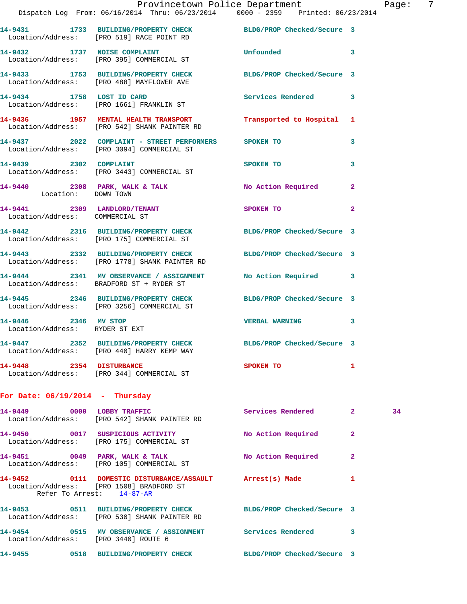|                                                        | Provincetown Police Department<br>Dispatch Log From: 06/16/2014 Thru: 06/23/2014   0000 - 2359   Printed: 06/23/2014 |                            |                | Page |
|--------------------------------------------------------|----------------------------------------------------------------------------------------------------------------------|----------------------------|----------------|------|
|                                                        | 14-9431 1733 BUILDING/PROPERTY CHECK BLDG/PROP Checked/Secure 3<br>Location/Address: [PRO 519] RACE POINT RD         |                            |                |      |
|                                                        | 14-9432 1737 NOISE COMPLAINT Unfounded<br>Location/Address: [PRO 395] COMMERCIAL ST                                  |                            | 3              |      |
|                                                        | 14-9433 1753 BUILDING/PROPERTY CHECK BLDG/PROP Checked/Secure 3<br>Location/Address: [PRO 488] MAYFLOWER AVE         |                            |                |      |
|                                                        | 14-9434 1758 LOST ID CARD Services Rendered 3<br>Location/Address: [PRO 1661] FRANKLIN ST                            |                            |                |      |
|                                                        | 14-9436 1957 MENTAL HEALTH TRANSPORT Transported to Hospital<br>Location/Address: [PRO 542] SHANK PAINTER RD         |                            | 1              |      |
|                                                        | 14-9437 2022 COMPLAINT - STREET PERFORMERS SPOKEN TO<br>Location/Address: [PRO 3094] COMMERCIAL ST                   |                            | 3              |      |
|                                                        | 14-9439 2302 COMPLAINT SPOKEN TO<br>Location/Address: [PRO 3443] COMMERCIAL ST                                       |                            | 3              |      |
| Location: DOWN TOWN                                    | 14-9440 2308 PARK, WALK & TALK NO Action Required                                                                    |                            | $\overline{2}$ |      |
| Location/Address: COMMERCIAL ST                        | 14-9441 2309 LANDLORD/TENANT SPOKEN TO                                                                               |                            | $\overline{2}$ |      |
|                                                        | 14-9442 2316 BUILDING/PROPERTY CHECK BLDG/PROP Checked/Secure 3<br>Location/Address: [PRO 175] COMMERCIAL ST         |                            |                |      |
|                                                        | 14-9443 2332 BUILDING/PROPERTY CHECK BLDG/PROP Checked/Secure 3<br>Location/Address: [PRO 1778] SHANK PAINTER RD     |                            |                |      |
|                                                        | 14-9444 2341 MV OBSERVANCE / ASSIGNMENT No Action Required 3<br>Location/Address: BRADFORD ST + RYDER ST             |                            |                |      |
|                                                        | 14-9445 2346 BUILDING/PROPERTY CHECK BLDG/PROP Checked/Secure 3<br>Location/Address: [PRO 3256] COMMERCIAL ST        |                            |                |      |
| 14-9446 2346 MV STOP<br>Location/Address: RYDER ST EXT |                                                                                                                      | <b>VERBAL WARNING</b>      | 3              |      |
|                                                        | 14-9447 2352 BUILDING/PROPERTY CHECK<br>Location/Address: [PRO 440] HARRY KEMP WAY                                   | BLDG/PROP Checked/Secure 3 |                |      |
| 14-9448 2354 DISTURBANCE                               | Location/Address: [PRO 344] COMMERCIAL ST                                                                            | SPOKEN TO                  | 1              |      |
| For Date: $06/19/2014$ - Thursday                      |                                                                                                                      |                            |                |      |
| 14-9449 0000 LOBBY TRAFFIC                             | Location/Address: [PRO 542] SHANK PAINTER RD                                                                         | Services Rendered          | $\mathbf{2}$   | 34   |
|                                                        | 14-9450 0017 SUSPICIOUS ACTIVITY<br>Location/Address: [PRO 175] COMMERCIAL ST                                        | No Action Required         | $\mathbf{2}$   |      |
| 14-9451 0049 PARK, WALK & TALK                         | Location/Address: [PRO 105] COMMERCIAL ST                                                                            | No Action Required         | $\overline{a}$ |      |

**14-9452 0111 DOMESTIC DISTURBANCE/ASSAULT Arrest(s) Made 1**  Location/Address: [PRO 1508] BRADFORD ST Refer To Arrest:  $14-87-R$ **14-9453 0511 BUILDING/PROPERTY CHECK BLDG/PROP Checked/Secure 3** 

 Location/Address: [PRO 530] SHANK PAINTER RD **14-9454 0515 MV OBSERVANCE / ASSIGNMENT Services Rendered 3**  Location/Address: [PRO 3440] ROUTE 6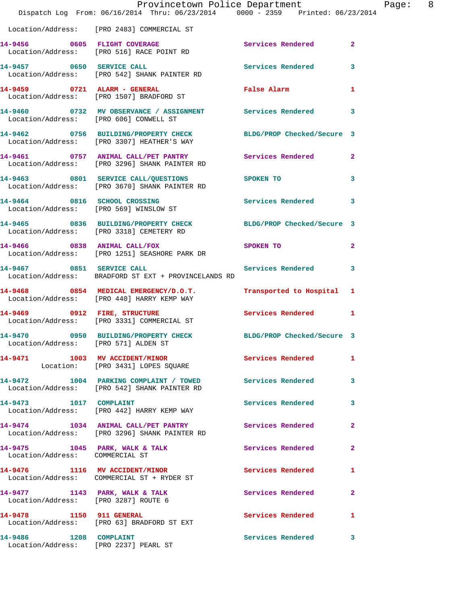|                                        | Provincetown Police Department<br>Dispatch Log From: 06/16/2014 Thru: 06/23/2014 0000 - 2359 Printed: 06/23/2014 |                           | Page: 8                    |
|----------------------------------------|------------------------------------------------------------------------------------------------------------------|---------------------------|----------------------------|
|                                        | Location/Address: [PRO 2483] COMMERCIAL ST                                                                       |                           |                            |
|                                        | 14-9456 0605 FLIGHT COVERAGE<br>Location/Address: [PRO 516] RACE POINT RD                                        | Services Rendered 2       |                            |
| 14-9457 0650 SERVICE CALL              | Location/Address: [PRO 542] SHANK PAINTER RD                                                                     | Services Rendered 3       |                            |
|                                        | 14-9459 0721 ALARM - GENERAL<br>Location/Address: [PRO 1507] BRADFORD ST                                         | False Alarm               | $\mathbf{1}$               |
| Location/Address: [PRO 606] CONWELL ST | 14-9460 0732 MV OBSERVANCE / ASSIGNMENT Services Rendered 3                                                      |                           |                            |
|                                        | 14-9462 0756 BUILDING/PROPERTY CHECK BLDG/PROP Checked/Secure 3<br>Location/Address: [PRO 3307] HEATHER'S WAY    |                           |                            |
|                                        | 14-9461 0757 ANIMAL CALL/PET PANTRY Services Rendered 2<br>Location/Address: [PRO 3296] SHANK PAINTER RD         |                           |                            |
|                                        | 14-9463 0801 SERVICE CALL/QUESTIONS SPOKEN TO<br>Location/Address: [PRO 3670] SHANK PAINTER RD                   |                           | $\overline{\phantom{a}}$ 3 |
|                                        | 14-9464 0816 SCHOOL CROSSING<br>Location/Address: [PRO 569] WINSLOW ST                                           | Services Rendered 3       |                            |
|                                        | 14-9465 0836 BUILDING/PROPERTY CHECK BLDG/PROP Checked/Secure 3<br>Location/Address: [PRO 3318] CEMETERY RD      |                           |                            |
|                                        | 14-9466 0838 ANIMAL CALL/FOX<br>Location/Address: [PRO 1251] SEASHORE PARK DR                                    | SPOKEN TO                 | $\mathbf{2}$               |
| 14-9467 0851 SERVICE CALL              | Location/Address: BRADFORD ST EXT + PROVINCELANDS RD                                                             | Services Rendered 3       |                            |
|                                        | 14-9468 0854 MEDICAL EMERGENCY/D.O.T.<br>Location/Address: [PRO 440] HARRY KEMP WAY                              | Transported to Hospital 1 |                            |
|                                        | 14-9469 0912 FIRE, STRUCTURE<br>Location/Address: [PRO 3331] COMMERCIAL ST                                       | Services Rendered 1       |                            |
| Location/Address: [PRO 571] ALDEN ST   | 14-9470 0950 BUILDING/PROPERTY CHECK BLDG/PROP Checked/Secure 3                                                  |                           |                            |
|                                        | 14-9471 1003 MV ACCIDENT/MINOR<br>Location: [PRO 3431] LOPES SQUARE                                              | Services Rendered 1       |                            |
|                                        | 14-9472 1004 PARKING COMPLAINT / TOWED Services Rendered<br>Location/Address: [PRO 542] SHANK PAINTER RD         |                           | $\mathbf{3}$               |
| 14-9473    1017    COMPLAINT           | Location/Address: [PRO 442] HARRY KEMP WAY                                                                       | Services Rendered 3       |                            |
|                                        | 14-9474 1034 ANIMAL CALL/PET PANTRY Services Rendered 2<br>Location/Address: [PRO 3296] SHANK PAINTER RD         |                           |                            |
| Location/Address: COMMERCIAL ST        | 14-9475 1045 PARK, WALK & TALK 1998 Services Rendered 2                                                          |                           |                            |
|                                        | 14-9476 1116 MV ACCIDENT/MINOR<br>Location/Address: COMMERCIAL ST + RYDER ST                                     | Services Rendered 1       |                            |
|                                        | 14-9477 1143 PARK, WALK & TALK 1999 Services Rendered 2<br>Location/Address: [PRO 3287] ROUTE 6                  |                           |                            |
|                                        | 14-9478 1150 911 GENERAL<br>Location/Address: [PRO 63] BRADFORD ST EXT                                           | Services Rendered         | $\mathbf{1}$               |
| 14-9486 1208 COMPLAINT                 | Location/Address: [PRO 2237] PEARL ST                                                                            | Services Rendered 3       |                            |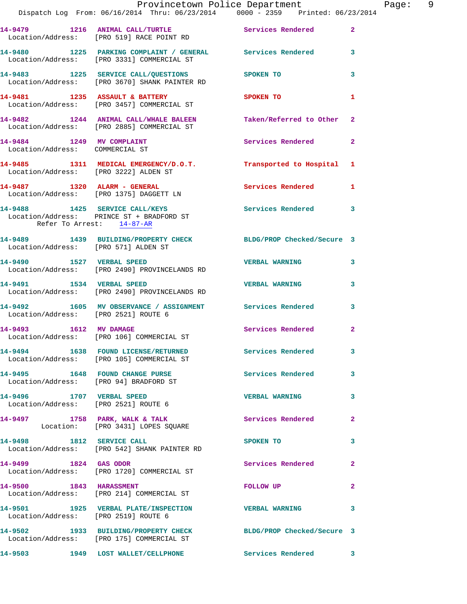|                                       | Provincetown Police Department Page: 9<br>Dispatch Log From: 06/16/2014 Thru: 06/23/2014   0000 - 2359   Printed: 06/23/2014 |                          |                |
|---------------------------------------|------------------------------------------------------------------------------------------------------------------------------|--------------------------|----------------|
|                                       | 14-9479 1216 ANIMAL CALL/TURTLE Services Rendered 2<br>Location/Address: [PRO 519] RACE POINT RD                             |                          |                |
|                                       | 14-9480 1225 PARKING COMPLAINT / GENERAL Services Rendered 3<br>Location/Address: [PRO 3331] COMMERCIAL ST                   |                          |                |
|                                       | 14-9483 1225 SERVICE CALL/QUESTIONS SPOKEN TO<br>Location/Address: [PRO 3670] SHANK PAINTER RD                               |                          | 3              |
|                                       | 14-9481 1235 ASSAULT & BATTERY SPOKEN TO<br>Location/Address: [PRO 3457] COMMERCIAL ST                                       |                          | 1              |
|                                       | 14-9482 1244 ANIMAL CALL/WHALE BALEEN Taken/Referred to Other 2<br>Location/Address: [PRO 2885] COMMERCIAL ST                |                          |                |
| Location/Address: COMMERCIAL ST       | 14-9484 1249 MV COMPLAINT                                                                                                    | <b>Services Rendered</b> | $\mathbf{2}$   |
| Location/Address: [PRO 3222] ALDEN ST | 14-9485 1311 MEDICAL EMERGENCY/D.O.T. Transported to Hospital 1                                                              |                          |                |
|                                       | 14-9487 1320 ALARM - GENERAL<br>Location/Address: [PRO 1375] DAGGETT LN                                                      | Services Rendered 1      |                |
| Refer To Arrest: 14-87-AR             | 14-9488 1425 SERVICE CALL/KEYS Services Rendered 3<br>Location/Address: PRINCE ST + BRADFORD ST                              |                          |                |
| Location/Address: [PRO 571] ALDEN ST  | 14-9489 1439 BUILDING/PROPERTY CHECK BLDG/PROP Checked/Secure 3                                                              |                          |                |
|                                       | 14-9490                 1527    VERBAL SPEED<br>Location/Address:     [PRO 2490] PROVINCELANDS RD                            | VERBAL WARNING 3         |                |
|                                       | 14-9491             1534    VERBAL SPEED<br>Location/Address:     [PRO 2490] PROVINCELANDS RD                                | <b>VERBAL WARNING</b>    | 3              |
| Location/Address: [PRO 2521] ROUTE 6  | 14-9492 1605 MV OBSERVANCE / ASSIGNMENT Services Rendered                                                                    |                          | 3              |
|                                       | 14-9493 1612 MV DAMAGE<br>Location/Address: [PRO 106] COMMERCIAL ST                                                          | Services Rendered        | $\mathbf{2}$   |
|                                       | 14-9494 1638 FOUND LICENSE/RETURNED Services Rendered 3<br>Location/Address: [PRO 105] COMMERCIAL ST                         |                          |                |
|                                       | 14-9495 1648 FOUND CHANGE PURSE 2008 Services Rendered<br>Location/Address: [PRO 94] BRADFORD ST                             |                          | $\mathbf{3}$   |
|                                       | 14-9496 1707 VERBAL SPEED<br>Location/Address: [PRO 2521] ROUTE 6                                                            | <b>VERBAL WARNING</b>    | $\mathbf{3}$   |
|                                       | 14-9497 1758 PARK, WALK & TALK Services Rendered<br>Location: [PRO 3431] LOPES SQUARE                                        |                          | $\mathbf{2}$   |
| 14-9498 1812 SERVICE CALL             | Location/Address: [PRO 542] SHANK PAINTER RD                                                                                 | SPOKEN TO                | 3              |
|                                       | 14-9499 1824 GAS ODOR<br>Location/Address: [PRO 1720] COMMERCIAL ST                                                          | Services Rendered        | $\mathbf{2}$   |
| 14-9500 1843 HARASSMENT               | Location/Address: [PRO 214] COMMERCIAL ST                                                                                    | FOLLOW UP                | $\overline{2}$ |
| Location/Address: [PRO 2519] ROUTE 6  | 14-9501 1925 VERBAL PLATE/INSPECTION VERBAL WARNING                                                                          |                          | 3              |
|                                       | 14-9502 1933 BUILDING/PROPERTY CHECK BLDG/PROP Checked/Secure 3<br>Location/Address: [PRO 175] COMMERCIAL ST                 |                          |                |
|                                       | 14-9503 1949 LOST WALLET/CELLPHONE Services Rendered 3                                                                       |                          |                |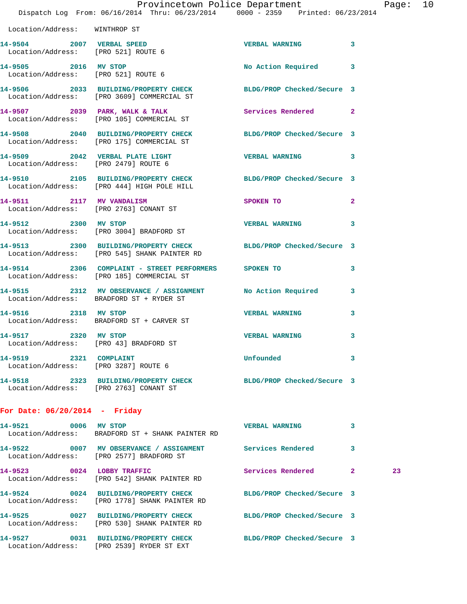|                                                                  | Dispatch Log From: 06/16/2014 Thru: 06/23/2014 0000 - 2359 Printed: 06/23/2014                                   | Provincetown Police Department |                         | Page: 10 |  |
|------------------------------------------------------------------|------------------------------------------------------------------------------------------------------------------|--------------------------------|-------------------------|----------|--|
| Location/Address: WINTHROP ST                                    |                                                                                                                  |                                |                         |          |  |
| 14-9504 2007 VERBAL SPEED<br>Location/Address: [PRO 521] ROUTE 6 |                                                                                                                  | VERBAL WARNING 3               |                         |          |  |
| 14-9505 2016 MV STOP<br>Location/Address: [PRO 521] ROUTE 6      |                                                                                                                  | No Action Required 3           |                         |          |  |
|                                                                  | 14-9506 2033 BUILDING/PROPERTY CHECK BLDG/PROP Checked/Secure 3<br>Location/Address: [PRO 3609] COMMERCIAL ST    |                                |                         |          |  |
|                                                                  | 14-9507 2039 PARK, WALK & TALK Services Rendered 2<br>Location/Address: [PRO 105] COMMERCIAL ST                  |                                |                         |          |  |
|                                                                  | 14-9508 2040 BUILDING/PROPERTY CHECK BLDG/PROP Checked/Secure 3<br>Location/Address: [PRO 175] COMMERCIAL ST     |                                |                         |          |  |
|                                                                  | 14-9509 2042 VERBAL PLATE LIGHT<br>Location/Address: [PRO 2479] ROUTE 6                                          | VERBAL WARNING 3               |                         |          |  |
|                                                                  | 14-9510 2105 BUILDING/PROPERTY CHECK BLDG/PROP Checked/Secure 3<br>Location/Address: [PRO 444] HIGH POLE HILL    |                                |                         |          |  |
|                                                                  | 14-9511 2117 MV VANDALISM<br>Location/Address: [PRO 2763] CONANT ST                                              | SPOKEN TO                      | $\mathbf{2}$            |          |  |
|                                                                  | 14-9512 2300 MV STOP<br>Location/Address: [PRO 3004] BRADFORD ST                                                 | <b>VERBAL WARNING</b>          | 3                       |          |  |
|                                                                  | 14-9513 2300 BUILDING/PROPERTY CHECK BLDG/PROP Checked/Secure 3<br>Location/Address: [PRO 545] SHANK PAINTER RD  |                                |                         |          |  |
|                                                                  | 14-9514 2306 COMPLAINT - STREET PERFORMERS SPOKEN TO<br>Location/Address: [PRO 185] COMMERCIAL ST                |                                | 3                       |          |  |
|                                                                  | 14-9515 2312 MV OBSERVANCE / ASSIGNMENT No Action Required 3<br>Location/Address: BRADFORD ST + RYDER ST         |                                |                         |          |  |
| 14-9516 2318 MV STOP                                             | Location/Address: BRADFORD ST + CARVER ST                                                                        | <b>VERBAL WARNING</b>          | 3                       |          |  |
| 14-9517 2320 MV STOP                                             | Location/Address: [PRO 43] BRADFORD ST                                                                           | VERBAL WARNING                 | $\overline{\mathbf{3}}$ |          |  |
| 14-9519 2321 COMPLAINT<br>Location/Address: [PRO 3287] ROUTE 6   |                                                                                                                  | <b>Unfounded</b>               | $\overline{\mathbf{3}}$ |          |  |
|                                                                  | 14-9518 2323 BUILDING/PROPERTY CHECK BLDG/PROP Checked/Secure 3<br>Location/Address: [PRO 2763] CONANT ST        |                                |                         |          |  |
| For Date: $06/20/2014$ - Friday                                  |                                                                                                                  |                                |                         |          |  |
| 14-9521 0006 MV STOP                                             | Location/Address: BRADFORD ST + SHANK PAINTER RD                                                                 | VERBAL WARNING 3               |                         |          |  |
|                                                                  | 14-9522 0007 MV OBSERVANCE / ASSIGNMENT Services Rendered<br>Location/Address: [PRO 2577] BRADFORD ST            |                                | 3                       |          |  |
|                                                                  | 14-9523 0024 LOBBY TRAFFIC<br>Location/Address: [PRO 542] SHANK PAINTER RD                                       | Services Rendered 2            |                         | 23       |  |
|                                                                  | 14-9524 0024 BUILDING/PROPERTY CHECK BLDG/PROP Checked/Secure 3<br>Location/Address: [PRO 1778] SHANK PAINTER RD |                                |                         |          |  |
|                                                                  | 14-9525 0027 BUILDING/PROPERTY CHECK BLDG/PROP Checked/Secure 3<br>Location/Address: [PRO 530] SHANK PAINTER RD  |                                |                         |          |  |
|                                                                  | 14-9527 0031 BUILDING/PROPERTY CHECK BLDG/PROP Checked/Secure 3<br>Location/Address: [PRO 2539] RYDER ST EXT     |                                |                         |          |  |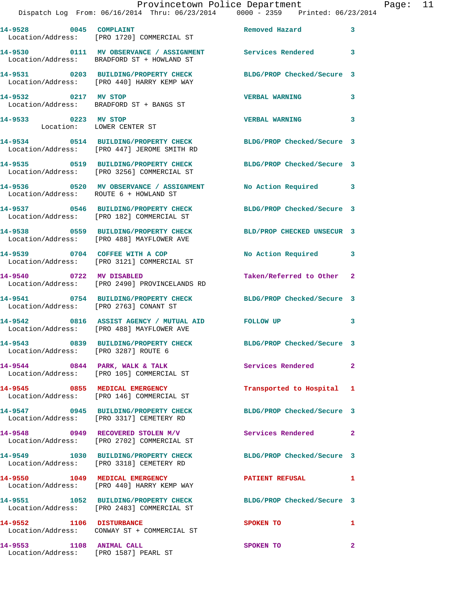|                                                   | Provincetown Police Department                                                                                 |                       |                         |
|---------------------------------------------------|----------------------------------------------------------------------------------------------------------------|-----------------------|-------------------------|
|                                                   | Dispatch Log From: 06/16/2014 Thru: 06/23/2014 0000 - 2359 Printed: 06/23/2014                                 |                       |                         |
| 14-9528 0045 COMPLAINT                            | Location/Address: [PRO 1720] COMMERCIAL ST                                                                     | <b>Removed Hazard</b> | 3                       |
|                                                   | 14-9530 0111 MV OBSERVANCE / ASSIGNMENT Services Rendered<br>Location/Address: BRADFORD ST + HOWLAND ST        |                       | $\overline{\mathbf{3}}$ |
|                                                   | 14-9531 0203 BUILDING/PROPERTY CHECK BLDG/PROP Checked/Secure 3<br>Location/Address: [PRO 440] HARRY KEMP WAY  |                       |                         |
| 14-9532 0217 MV STOP                              | Location/Address: BRADFORD ST + BANGS ST                                                                       | <b>VERBAL WARNING</b> | 3                       |
| 14-9533 0223 MV STOP<br>Location: LOWER CENTER ST |                                                                                                                | <b>VERBAL WARNING</b> | 3                       |
|                                                   | 14-9534 0514 BUILDING/PROPERTY CHECK BLDG/PROP Checked/Secure 3<br>Location/Address: [PRO 447] JEROME SMITH RD |                       |                         |
|                                                   | 14-9535 0519 BUILDING/PROPERTY CHECK BLDG/PROP Checked/Secure 3<br>Location/Address: [PRO 3256] COMMERCIAL ST  |                       |                         |
|                                                   | Location/Address: ROUTE 6 + HOWLAND ST                                                                         |                       | 3                       |

Location/Address: [PRO 182] COMMERCIAL ST

Location/Address: [PRO 488] MAYFLOWER AVE

Location/Address: [PRO 3121] COMMERCIAL ST

**14-9540 0722 MV DISABLED Taken/Referred to Other 2**  Location/Address: [PRO 2490] PROVINCELANDS RD

Location/Address: [PRO 2763] CONANT ST

Location/Address: [PRO 488] MAYFLOWER AVE

Location/Address: [PRO 3287] ROUTE 6

Location/Address: [PRO 105] COMMERCIAL ST

Location/Address: [PRO 146] COMMERCIAL ST

Location/Address: [PRO 3317] CEMETERY RD

Location/Address: [PRO 2702] COMMERCIAL ST

Location/Address: [PRO 3318] CEMETERY RD

Location/Address: [PRO 440] HARRY KEMP WAY

**14-9551 1052 BUILDING/PROPERTY CHECK BLDG/PROP Checked/Secure 3**  Location/Address: [PRO 2483] COMMERCIAL ST

Location/Address: CONWAY ST + COMMERCIAL ST

Location/Address: [PRO 1587] PEARL ST

**14-9537 0546 BUILDING/PROPERTY CHECK BLDG/PROP Checked/Secure 3** 

**14-9538 0559 BUILDING/PROPERTY CHECK BLD/PROP CHECKED UNSECUR 3** 

14-9539 0704 COFFEE WITH A COP No Action Required 3

**14-9541 0754 BUILDING/PROPERTY CHECK BLDG/PROP Checked/Secure 3** 

**14-9542 0816 ASSIST AGENCY / MUTUAL AID FOLLOW UP 3** 

**14-9543 0839 BUILDING/PROPERTY CHECK BLDG/PROP Checked/Secure 3** 

14-9544 **0844** PARK, WALK & TALK **Services Rendered** 2

**14-9545 0855 MEDICAL EMERGENCY Transported to Hospital 1** 

**14-9547 0945 BUILDING/PROPERTY CHECK BLDG/PROP Checked/Secure 3** 

**14-9548 0949 RECOVERED STOLEN M/V Services Rendered 2** 

**14-9549 1030 BUILDING/PROPERTY CHECK BLDG/PROP Checked/Secure 3** 

**14-9550 1049 MEDICAL EMERGENCY PATIENT REFUSAL 1** 

**14-9552 1106 DISTURBANCE SPOKEN TO 1** 

**14-9553 1108 ANIMAL CALL SPOKEN TO 2**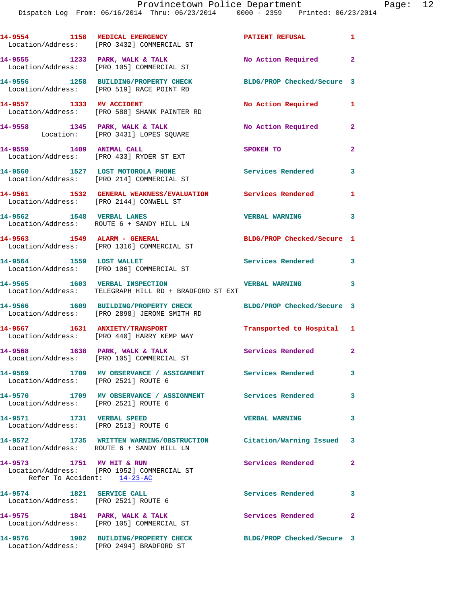Dispatch Log From: 06/16/2014 Thru: 06/23/2014 0000 - 2359 Printed: 06/23/2014

|                 | rage. |
|-----------------|-------|
| . 1: 06/23/2014 |       |

|                           | 14-9554 1158 MEDICAL EMERGENCY<br>Location/Address: [PRO 3432] COMMERCIAL ST                                    | PATIENT REFUSAL            |                            |
|---------------------------|-----------------------------------------------------------------------------------------------------------------|----------------------------|----------------------------|
|                           | 14-9555 1233 PARK, WALK & TALK<br>Location/Address: [PRO 105] COMMERCIAL ST                                     | No Action Required 2       |                            |
|                           | 14-9556 1258 BUILDING/PROPERTY CHECK<br>Location/Address: [PRO 519] RACE POINT RD                               | BLDG/PROP Checked/Secure 3 |                            |
|                           | 14-9557 1333 MV ACCIDENT<br>Location/Address: [PRO 588] SHANK PAINTER RD                                        | No Action Required 1       |                            |
|                           | 14-9558 1345 PARK, WALK & TALK<br>Location: [PRO 3431] LOPES SQUARE                                             | No Action Required         | $\overline{2}$             |
| 14-9559 1409 ANIMAL CALL  | Location/Address: [PRO 433] RYDER ST EXT                                                                        | SPOKEN TO                  | $\overline{2}$             |
|                           | 14-9560 1527 LOST MOTOROLA PHONE<br>Location/Address: [PRO 214] COMMERCIAL ST                                   | <b>Services Rendered</b>   | $\overline{\mathbf{3}}$    |
|                           | 14-9561 1532 GENERAL WEAKNESS/EVALUATION Services Rendered 1<br>Location/Address: [PRO 2144] CONWELL ST         |                            |                            |
| 14-9562 1548 VERBAL LANES | Location/Address: ROUTE 6 + SANDY HILL LN                                                                       | VERBAL WARNING 3           |                            |
|                           | 14-9563 1549 ALARM - GENERAL<br>Location/Address: [PRO 1316] COMMERCIAL ST                                      | BLDG/PROP Checked/Secure 1 |                            |
| 14-9564 1559 LOST WALLET  | Location/Address: [PRO 106] COMMERCIAL ST                                                                       | Services Rendered 3        |                            |
|                           | 14-9565 1603 VERBAL INSPECTION<br>Location/Address: TELEGRAPH HILL RD + BRADFORD ST EXT                         | <b>VERBAL WARNING</b>      | 3                          |
|                           | 14-9566 1609 BUILDING/PROPERTY CHECK<br>Location/Address: [PRO 2898] JEROME SMITH RD                            | BLDG/PROP Checked/Secure 3 |                            |
|                           | 14-9567 1631 ANXIETY/TRANSPORT<br>Location/Address: [PRO 440] HARRY KEMP WAY                                    | Transported to Hospital 1  |                            |
|                           | $14-9568$ 1638 PARK, WALK & TALK<br>Location/Address: [PRO 105] COMMERCIAL ST                                   | Services Rendered 2        |                            |
|                           | 14-9569 1709 MV OBSERVANCE / ASSIGNMENT Services Rendered<br>Location/Address: [PRO 2521] ROUTE 6               |                            | $\overline{\phantom{a}}$ 3 |
|                           | 14-9570 1709 MV OBSERVANCE / ASSIGNMENT Services Rendered<br>Location/Address: [PRO 2521] ROUTE 6               |                            | $\overline{\mathbf{3}}$    |
|                           | 14-9571 1731 VERBAL SPEED<br>Location/Address: [PRO 2513] ROUTE 6                                               | <b>VERBAL WARNING</b>      | 3                          |
|                           | 14-9572 1735 WRITTEN WARNING/OBSTRUCTION Citation/Warning Issued 3<br>Location/Address: ROUTE 6 + SANDY HILL LN |                            |                            |
|                           | 14-9573 1751 MV HIT & RUN<br>Location/Address: [PRO 1952] COMMERCIAL ST<br>Refer To Accident: 14-23-AC          | Services Rendered          | $\mathbf{2}$               |
| 14-9574 1821 SERVICE CALL | Location/Address: [PRO 2521] ROUTE 6                                                                            | Services Rendered 3        |                            |
|                           | 14-9575 1841 PARK, WALK & TALK<br>Location/Address: [PRO 105] COMMERCIAL ST                                     | Services Rendered          | $\mathbf{2}$               |
|                           | 14-9576 1902 BUILDING/PROPERTY CHECK<br>Location/Address: [PRO 2494] BRADFORD ST                                | BLDG/PROP Checked/Secure 3 |                            |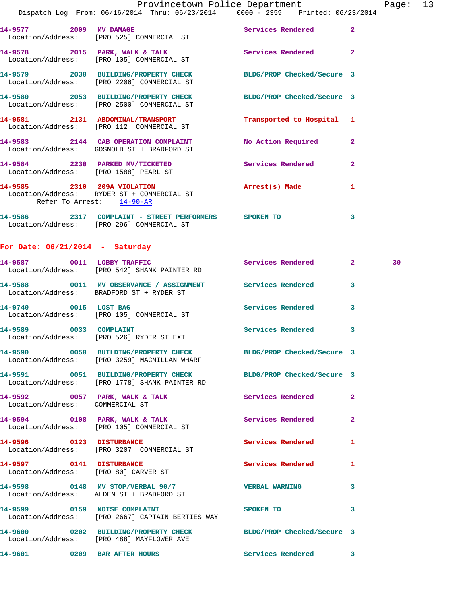|                                                                  | Provincetown Police Department<br>Dispatch Log From: 06/16/2014 Thru: 06/23/2014   0000 - 2359   Printed: 06/23/2014 |                            |              | Page: 13 |  |
|------------------------------------------------------------------|----------------------------------------------------------------------------------------------------------------------|----------------------------|--------------|----------|--|
|                                                                  | 14-9577 2009 MV DAMAGE<br>Location/Address: [PRO 525] COMMERCIAL ST                                                  | Services Rendered          | $\mathbf{2}$ |          |  |
|                                                                  | 14-9578 2015 PARK, WALK & TALK<br>Location/Address: [PRO 105] COMMERCIAL ST                                          | Services Rendered 2        |              |          |  |
|                                                                  | 14-9579 2030 BUILDING/PROPERTY CHECK BLDG/PROP Checked/Secure 3<br>Location/Address: [PRO 2206] COMMERCIAL ST        |                            |              |          |  |
|                                                                  | 14-9580 2053 BUILDING/PROPERTY CHECK BLDG/PROP Checked/Secure 3<br>Location/Address: [PRO 2500] COMMERCIAL ST        |                            |              |          |  |
|                                                                  | 14-9581 2131 ABDOMINAL/TRANSPORT<br>Location/Address: [PRO 112] COMMERCIAL ST                                        | Transported to Hospital 1  |              |          |  |
|                                                                  | 14-9583 2144 CAB OPERATION COMPLAINT No Action Required 2<br>Location/Address: GOSNOLD ST + BRADFORD ST              |                            |              |          |  |
| Location/Address: [PRO 1588] PEARL ST                            | 14-9584 2230 PARKED MV/TICKETED Services Rendered                                                                    |                            | $\mathbf{2}$ |          |  |
| Refer To Arrest: 14-90-AR                                        | 14-9585 2310 209A VIOLATION<br>Location/Address: RYDER ST + COMMERCIAL ST                                            | Arrest(s) Made 1           |              |          |  |
|                                                                  |                                                                                                                      |                            | 3            |          |  |
| For Date: $06/21/2014$ - Saturday                                |                                                                                                                      |                            |              |          |  |
|                                                                  | 14-9587 0011 LOBBY TRAFFIC<br>Location/Address: [PRO 542] SHANK PAINTER RD                                           | Services Rendered 2        |              | 30       |  |
|                                                                  | 14-9588 0011 MV OBSERVANCE / ASSIGNMENT Services Rendered<br>Location/Address: BRADFORD ST + RYDER ST                |                            | 3            |          |  |
|                                                                  | 14-9740 0015 LOST BAG<br>Location/Address: [PRO 105] COMMERCIAL ST                                                   | Services Rendered 3        |              |          |  |
| 14-9589 0033 COMPLAINT                                           | Location/Address: [PRO 526] RYDER ST EXT                                                                             | <b>Services Rendered</b>   | 3            |          |  |
|                                                                  | 14-9590 0050 BUILDING/PROPERTY CHECK BLDG/PROP Checked/Secure 3<br>Location/Address: [PRO 3259] MACMILLAN WHARF      |                            |              |          |  |
|                                                                  | 14-9591 0051 BUILDING/PROPERTY CHECK BLDG/PROP Checked/Secure 3<br>Location/Address: [PRO 1778] SHANK PAINTER RD     |                            |              |          |  |
| Location/Address: COMMERCIAL ST                                  | 14-9592 0057 PARK, WALK & TALK                                                                                       | Services Rendered          | 2            |          |  |
|                                                                  | 14-9594 0108 PARK, WALK & TALK<br>Location/Address: [PRO 105] COMMERCIAL ST                                          | Services Rendered          | $\mathbf{2}$ |          |  |
|                                                                  | 14-9596 0123 DISTURBANCE<br>Location/Address: [PRO 3207] COMMERCIAL ST                                               | Services Rendered          | 1            |          |  |
| 14-9597 0141 DISTURBANCE<br>Location/Address: [PRO 80] CARVER ST |                                                                                                                      | Services Rendered          | 1            |          |  |
|                                                                  | 14-9598 0148 MV STOP/VERBAL 90/7<br>Location/Address: ALDEN ST + BRADFORD ST                                         | <b>VERBAL WARNING</b>      | 3            |          |  |
|                                                                  | 14-9599 0159 NOISE COMPLAINT<br>Location/Address: [PRO 2667] CAPTAIN BERTIES WAY                                     | SPOKEN TO                  | 3            |          |  |
|                                                                  | 14-9600 0202 BUILDING/PROPERTY CHECK<br>Location/Address: [PRO 488] MAYFLOWER AVE                                    | BLDG/PROP Checked/Secure 3 |              |          |  |

**14-9601 0209 BAR AFTER HOURS Services Rendered 3**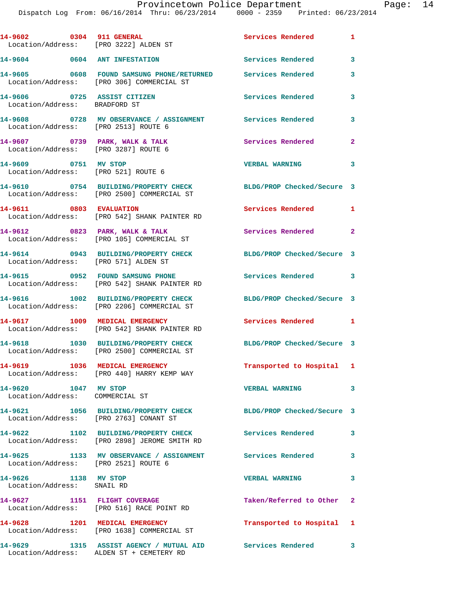| 14-9602 0304 911 GENERAL                                               | Location/Address: [PRO 3222] ALDEN ST                                                                    | Services Rendered 1        |                         |
|------------------------------------------------------------------------|----------------------------------------------------------------------------------------------------------|----------------------------|-------------------------|
| 14-9604 0604 ANT INFESTATION                                           |                                                                                                          | <b>Services Rendered</b>   | 3                       |
|                                                                        | 14-9605 0608 FOUND SAMSUNG PHONE/RETURNED Services Rendered<br>Location/Address: [PRO 306] COMMERCIAL ST |                            | 3                       |
| 14-9606 0725 ASSIST CITIZEN<br>Location/Address: BRADFORD ST           |                                                                                                          | <b>Services Rendered</b>   | 3                       |
| Location/Address: [PRO 2513] ROUTE 6                                   | 14-9608 6728 MV OBSERVANCE / ASSIGNMENT Services Rendered                                                |                            | 3                       |
| 14-9607 0739 PARK, WALK & TALK<br>Location/Address: [PRO 3287] ROUTE 6 |                                                                                                          | Services Rendered          | $\mathbf{2}$            |
| 14-9609 0751 MV STOP                                                   | Location/Address: [PRO 521] ROUTE 6                                                                      | <b>VERBAL WARNING</b>      | 3                       |
|                                                                        | 14-9610 0754 BUILDING/PROPERTY CHECK<br>Location/Address: [PRO 2500] COMMERCIAL ST                       | BLDG/PROP Checked/Secure 3 |                         |
| 14-9611 0803 EVALUATION                                                | Location/Address: [PRO 542] SHANK PAINTER RD                                                             | Services Rendered 1        |                         |
|                                                                        | 14-9612 0823 PARK, WALK & TALK<br>Location/Address: [PRO 105] COMMERCIAL ST                              | Services Rendered          | $\overline{2}$          |
| Location/Address: [PRO 571] ALDEN ST                                   | 14-9614 0943 BUILDING/PROPERTY CHECK                                                                     | BLDG/PROP Checked/Secure 3 |                         |
|                                                                        | 14-9615 0952 FOUND SAMSUNG PHONE<br>Location/Address: [PRO 542] SHANK PAINTER RD                         | Services Rendered 3        |                         |
|                                                                        | 14-9616 1002 BUILDING/PROPERTY CHECK<br>Location/Address: [PRO 2206] COMMERCIAL ST                       | BLDG/PROP Checked/Secure 3 |                         |
|                                                                        | 14-9617 1009 MEDICAL EMERGENCY<br>Location/Address: [PRO 542] SHANK PAINTER RD                           | Services Rendered 1        |                         |
|                                                                        | 14-9618 1030 BUILDING/PROPERTY CHECK<br>Location/Address: [PRO 2500] COMMERCIAL ST                       | BLDG/PROP Checked/Secure 3 |                         |
|                                                                        | 14-9619 1036 MEDICAL EMERGENCY<br>Location/Address: [PRO 440] HARRY KEMP WAY                             | Transported to Hospital 1  |                         |
| 14-9620 1047 MV STOP<br>Location/Address: COMMERCIAL ST                |                                                                                                          | <b>VERBAL WARNING</b>      | $\overline{\mathbf{3}}$ |
| Location/Address: [PRO 2763] CONANT ST                                 | 14-9621 1056 BUILDING/PROPERTY CHECK                                                                     | BLDG/PROP Checked/Secure 3 |                         |
|                                                                        | 14-9622 1102 BUILDING/PROPERTY CHECK Services Rendered 3<br>Location/Address: [PRO 2898] JEROME SMITH RD |                            |                         |
| Location/Address: [PRO 2521] ROUTE 6                                   |                                                                                                          |                            | 3                       |
| 14-9626 1138 MV STOP<br>Location/Address: SNAIL RD                     |                                                                                                          | <b>VERBAL WARNING</b>      | 3                       |
|                                                                        | 14-9627 1151 FLIGHT COVERAGE<br>Location/Address: [PRO 516] RACE POINT RD                                | Taken/Referred to Other 2  |                         |
|                                                                        | 14-9628 1201 MEDICAL EMERGENCY<br>Location/Address: [PRO 1638] COMMERCIAL ST                             | Transported to Hospital 1  |                         |
| 14-9629                                                                | 1315 ASSIST AGENCY / MUTUAL AID Services Rendered 3<br>Location/Address: ALDEN ST + CEMETERY RD          |                            |                         |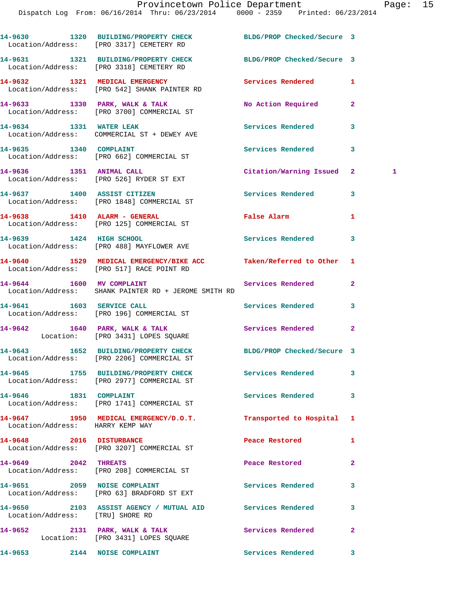|                                  | 14-9630 1320 BUILDING/PROPERTY CHECK BLDG/PROP Checked/Secure 3<br>Location/Address: [PRO 3317] CEMETERY RD   |                          |                   |
|----------------------------------|---------------------------------------------------------------------------------------------------------------|--------------------------|-------------------|
|                                  | 14-9631 1321 BUILDING/PROPERTY CHECK BLDG/PROP Checked/Secure 3<br>Location/Address: [PRO 3318] CEMETERY RD   |                          |                   |
|                                  | 14-9632 1321 MEDICAL EMERGENCY<br>Location/Address: [PRO 542] SHANK PAINTER RD                                | Services Rendered        | 1                 |
|                                  | 14-9633 1330 PARK, WALK & TALK<br>Location/Address: [PRO 3700] COMMERCIAL ST                                  | No Action Required       | $\overline{a}$    |
|                                  | 14-9634 1331 WATER LEAK<br>Location/Address: COMMERCIAL ST + DEWEY AVE                                        | <b>Services Rendered</b> | 3                 |
| 14-9635 1340 COMPLAINT           | Location/Address: [PRO 662] COMMERCIAL ST                                                                     | Services Rendered        | 3                 |
|                                  | 14-9636 1351 ANIMAL CALL<br>Location/Address: [PRO 526] RYDER ST EXT                                          | Citation/Warning Issued  | $\mathbf{2}$<br>1 |
|                                  | 14-9637 1400 ASSIST CITIZEN<br>Location/Address: [PRO 1848] COMMERCIAL ST                                     | Services Rendered        | 3                 |
|                                  | 14-9638 1410 ALARM - GENERAL<br>Location/Address: [PRO 125] COMMERCIAL ST                                     | False Alarm              | 1                 |
|                                  | 14-9639 1424 HIGH SCHOOL<br>Location/Address: [PRO 488] MAYFLOWER AVE                                         | Services Rendered        | 3                 |
|                                  | 14-9640 1529 MEDICAL EMERGENCY/BIKE ACC Taken/Referred to Other<br>Location/Address: [PRO 517] RACE POINT RD  |                          | 1                 |
|                                  | 14-9644 1600 MV COMPLAINT<br>Location/Address: SHANK PAINTER RD + JEROME SMITH RD                             | Services Rendered        | $\overline{2}$    |
| 14-9641 1603 SERVICE CALL        | Location/Address: [PRO 196] COMMERCIAL ST                                                                     | Services Rendered        | 3                 |
|                                  | 14-9642 1640 PARK, WALK & TALK<br>Location: [PRO 3431] LOPES SQUARE                                           | Services Rendered        | $\overline{2}$    |
|                                  | 14-9643 1652 BUILDING/PROPERTY CHECK BLDG/PROP Checked/Secure 3<br>Location/Address: [PRO 2206] COMMERCIAL ST |                          |                   |
|                                  | 14-9645 1755 BUILDING/PROPERTY CHECK<br>Location/Address: [PRO 2977] COMMERCIAL ST                            | <b>Services Rendered</b> | 3                 |
| 14-9646 1831 COMPLAINT           | Location/Address: [PRO 1741] COMMERCIAL ST                                                                    | Services Rendered        | 3                 |
| Location/Address: HARRY KEMP WAY | 14-9647 1950 MEDICAL EMERGENCY/D.O.T.                                                                         | Transported to Hospital  | 1                 |
| 14-9648 2016 DISTURBANCE         | Location/Address: [PRO 3207] COMMERCIAL ST                                                                    | Peace Restored           | 1                 |
| 14-9649 2042 THREATS             | Location/Address: [PRO 208] COMMERCIAL ST                                                                     | Peace Restored           | $\mathbf{2}$      |
| 14-9651 2059 NOISE COMPLAINT     | Location/Address: [PRO 63] BRADFORD ST EXT                                                                    | <b>Services Rendered</b> | 3                 |
| Location/Address: [TRU] SHORE RD | 14-9650 2103 ASSIST AGENCY / MUTUAL AID Services Rendered                                                     |                          | 3                 |
|                                  | 14-9652 2131 PARK, WALK & TALK<br>Location: [PRO 3431] LOPES SQUARE                                           | Services Rendered        | $\overline{a}$    |
| 14-9653 2144 NOISE COMPLAINT     |                                                                                                               | Services Rendered        | 3                 |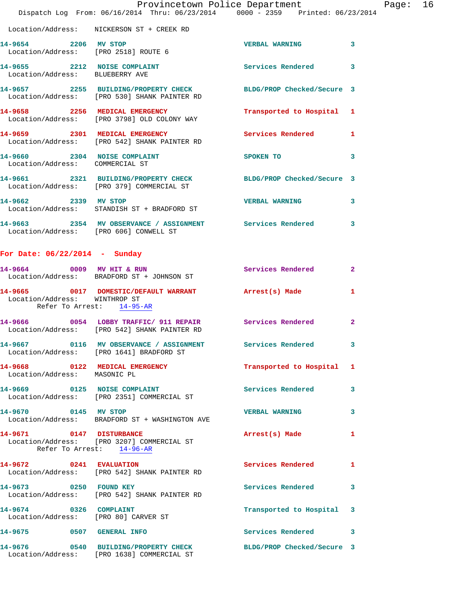|                                        |                                                                                                                 | Provincetown Police Department | Page: 16                |
|----------------------------------------|-----------------------------------------------------------------------------------------------------------------|--------------------------------|-------------------------|
|                                        | Dispatch Log From: 06/16/2014 Thru: 06/23/2014 0000 - 2359 Printed: 06/23/2014                                  |                                |                         |
|                                        | Location/Address: NICKERSON ST + CREEK RD                                                                       |                                |                         |
| Location/Address: [PRO 2518] ROUTE 6   | 14-9654 2206 MV STOP                                                                                            | <b>VERBAL WARNING</b>          | $\overline{\mathbf{3}}$ |
| Location/Address: BLUEBERRY AVE        | 14-9655 2212 NOISE COMPLAINT                                                                                    | Services Rendered 3            |                         |
|                                        | 14-9657 2255 BUILDING/PROPERTY CHECK BLDG/PROP Checked/Secure 3<br>Location/Address: [PRO 530] SHANK PAINTER RD |                                |                         |
|                                        | 14-9658 2256 MEDICAL EMERGENCY<br>Location/Address: [PRO 3798] OLD COLONY WAY                                   | Transported to Hospital 1      |                         |
|                                        | 14-9659 2301 MEDICAL EMERGENCY<br>Location/Address: [PRO 542] SHANK PAINTER RD                                  | Services Rendered 1            |                         |
| Location/Address: COMMERCIAL ST        | 14-9660 2304 NOISE COMPLAINT                                                                                    | SPOKEN TO                      | 3                       |
|                                        | 14-9661 2321 BUILDING/PROPERTY CHECK BLDG/PROP Checked/Secure 3<br>Location/Address: [PRO 379] COMMERCIAL ST    |                                |                         |
|                                        | 14-9662 2339 MV STOP<br>Location/Address: STANDISH ST + BRADFORD ST                                             | <b>VERBAL WARNING</b>          | 3                       |
| Location/Address: [PRO 606] CONWELL ST | 14-9663 2354 MV OBSERVANCE / ASSIGNMENT Services Rendered                                                       |                                | 3                       |

## **For Date: 06/22/2014 - Sunday**

| 14-9664 0009 MV HIT & RUN                                      | Location/Address: BRADFORD ST + JOHNSON ST                                                                 | <b>Services Rendered</b> 2 |                |
|----------------------------------------------------------------|------------------------------------------------------------------------------------------------------------|----------------------------|----------------|
| Location/Address: WINTHROP ST                                  | 14-9665 0017 DOMESTIC/DEFAULT WARRANT Arrest(s) Made<br>Refer To Arrest: 14-95-AR                          |                            | $\mathbf{1}$   |
|                                                                | 14-9666 0054 LOBBY TRAFFIC/ 911 REPAIR Services Rendered 2<br>Location/Address: [PRO 542] SHANK PAINTER RD |                            |                |
|                                                                | Location/Address: [PRO 1641] BRADFORD ST                                                                   |                            | 3              |
| 14-9668 0122 MEDICAL EMERGENCY<br>Location/Address: MASONIC PL |                                                                                                            | Transported to Hospital 1  |                |
|                                                                | 14-9669 0125 NOISE COMPLAINT<br>Location/Address: [PRO 2351] COMMERCIAL ST                                 | <b>Services Rendered</b>   | $\mathbf{3}$   |
| 14-9670 0145 MV STOP                                           | Location/Address: BRADFORD ST + WASHINGTON AVE                                                             | <b>VERBAL WARNING</b>      | $\overline{3}$ |
| 14-9671 0147 DISTURBANCE                                       | Location/Address: [PRO 3207] COMMERCIAL ST<br>Refer To Arrest: 14-96-AR                                    | Arrest(s) Made             | $\mathbf{1}$   |
| 14-9672 0241 EVALUATION                                        | Location/Address: [PRO 542] SHANK PAINTER RD                                                               | <b>Services Rendered</b>   | $\mathbf{1}$   |
| 14-9673 0250 FOUND KEY                                         | Location/Address: [PRO 542] SHANK PAINTER RD                                                               | <b>Services Rendered</b>   | 3              |
| 14-9674 0326 COMPLAINT<br>Location/Address: [PRO 80] CARVER ST |                                                                                                            | Transported to Hospital 3  |                |
| 14-9675 0507 GENERAL INFO                                      |                                                                                                            | Services Rendered 3        |                |
|                                                                | 14-9676 0540 BUILDING/PROPERTY CHECK<br>Location/Address: [PRO 1638] COMMERCIAL ST                         | BLDG/PROP Checked/Secure 3 |                |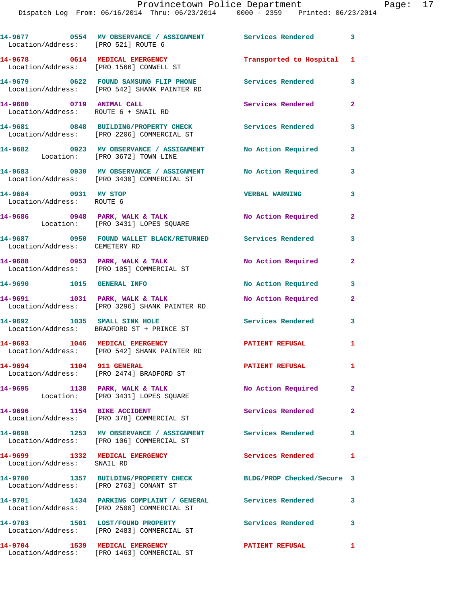**14-9677 0554 MV OBSERVANCE / ASSIGNMENT Services Rendered 3**  Location/Address: [PRO 521] ROUTE 6 **14-9678 0614 MEDICAL EMERGENCY Transported to Hospital 1**  Location/Address: [PRO 1566] CONWELL ST **14-9679 0622 FOUND SAMSUNG FLIP PHONE Services Rendered 3**  Location/Address: [PRO 542] SHANK PAINTER RD **14-9680 0719 ANIMAL CALL Services Rendered 2**  Location/Address: ROUTE 6 + SNAIL RD **14-9681 0848 BUILDING/PROPERTY CHECK Services Rendered 3**  Location/Address: [PRO 2206] COMMERCIAL ST **14-9682 0923 MV OBSERVANCE / ASSIGNMENT No Action Required 3**  Location: [PRO 3672] TOWN LINE **14-9683 0930 MV OBSERVANCE / ASSIGNMENT No Action Required 3**  Location/Address: [PRO 3430] COMMERCIAL ST **14-9684 0931 MV STOP VERBAL WARNING 3**  Location/Address: ROUTE 6 **14-9686 0948 PARK, WALK & TALK No Action Required 2**  Location: [PRO 3431] LOPES SQUARE **14-9687 0950 FOUND WALLET BLACK/RETURNED Services Rendered 3**  Location/Address: CEMETERY RD **14-9688 0953 PARK, WALK & TALK No Action Required 2**  Location/Address: [PRO 105] COMMERCIAL ST **14-9690 1015 GENERAL INFO No Action Required 3 14-9691 1031 PARK, WALK & TALK No Action Required 2**  Location/Address: [PRO 3296] SHANK PAINTER RD **14-9692 1035 SMALL SINK HOLE Services Rendered 3**  Location/Address: BRADFORD ST + PRINCE ST **14-9693 1046 MEDICAL EMERGENCY PATIENT REFUSAL 1**  Location/Address: [PRO 542] SHANK PAINTER RD **14-9694 1104 911 GENERAL PATIENT REFUSAL 1**  Location/Address: [PRO 2474] BRADFORD ST **14-9695 1138 PARK, WALK & TALK No Action Required 2**  Location: [PRO 3431] LOPES SQUARE **14-9696 1154 BIKE ACCIDENT Services Rendered 2**  Location/Address: [PRO 378] COMMERCIAL ST **14-9698 1253 MV OBSERVANCE / ASSIGNMENT Services Rendered 3**  Location/Address: [PRO 106] COMMERCIAL ST **14-9699 1332 MEDICAL EMERGENCY Services Rendered 1**  Location/Address: SNAIL RD **14-9700 1357 BUILDING/PROPERTY CHECK BLDG/PROP Checked/Secure 3**  Location/Address: [PRO 2763] CONANT ST **14-9701 1434 PARKING COMPLAINT / GENERAL Services Rendered 3**  Location/Address: [PRO 2500] COMMERCIAL ST **14-9703 1501 LOST/FOUND PROPERTY Services Rendered 3**  Location/Address: [PRO 2483] COMMERCIAL ST **14-9704 1539 MEDICAL EMERGENCY PATIENT REFUSAL 1**  Location/Address: [PRO 1463] COMMERCIAL ST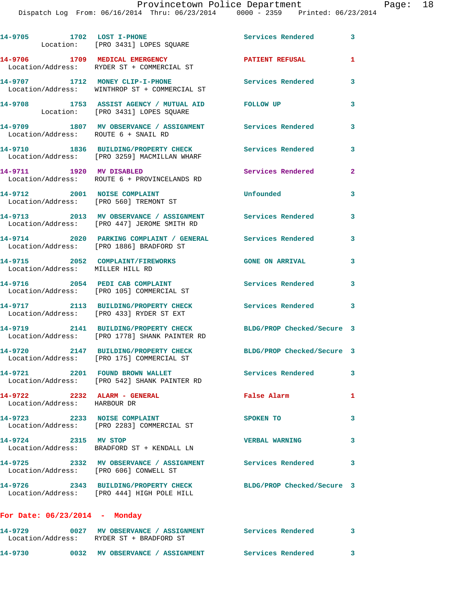Dispatch Log From:  $06/16/2014$  Thru:  $06/23/2014$  0000 - 2359

|                     | Paye. |
|---------------------|-------|
| Printed: 06/23/2014 |       |
|                     |       |

|                                         | 14-9705 1702 LOST I-PHONE<br>Location: [PRO 3431] LOPES SQUARE                                                | Services Rendered          | $\overline{\mathbf{3}}$ |
|-----------------------------------------|---------------------------------------------------------------------------------------------------------------|----------------------------|-------------------------|
|                                         | 14-9706 1709 MEDICAL EMERGENCY<br>Location/Address: RYDER ST + COMMERCIAL ST                                  | <b>PATIENT REFUSAL</b>     | $\mathbf{1}$            |
|                                         | 14-9707 1712 MONEY CLIP-I-PHONE<br>Location/Address: WINTHROP ST + COMMERCIAL ST                              | <b>Services Rendered</b>   | 3                       |
|                                         | 14-9708 1753 ASSIST AGENCY / MUTUAL AID<br>Location: [PRO 3431] LOPES SQUARE                                  | FOLLOW UP                  | 3                       |
|                                         | 14-9709 1807 MV OBSERVANCE / ASSIGNMENT Services Rendered<br>Location/Address: ROUTE 6 + SNAIL RD             |                            | 3                       |
|                                         | 14-9710 1836 BUILDING/PROPERTY CHECK<br>Location/Address: [PRO 3259] MACMILLAN WHARF                          | <b>Services Rendered</b>   | 3                       |
| 14-9711 1920 MV DISABLED                | Location/Address: ROUTE 6 + PROVINCELANDS RD                                                                  | Services Rendered          | $\overline{a}$          |
| 14-9712 2001 NOISE COMPLAINT            | Location/Address: [PRO 560] TREMONT ST                                                                        | Unfounded                  | 3                       |
|                                         | 14-9713 2013 MV OBSERVANCE / ASSIGNMENT Services Rendered<br>Location/Address: [PRO 447] JEROME SMITH RD      |                            | 3                       |
|                                         | 14-9714 2020 PARKING COMPLAINT / GENERAL Services Rendered<br>Location/Address: [PRO 1886] BRADFORD ST        |                            | 3                       |
| Location/Address: MILLER HILL RD        | 14-9715 2052 COMPLAINT/FIREWORKS                                                                              | <b>GONE ON ARRIVAL</b>     | 3                       |
|                                         | 14-9716 2054 PEDI CAB COMPLAINT<br>Location/Address: [PRO 105] COMMERCIAL ST                                  | Services Rendered          | 3                       |
|                                         | 14-9717 2113 BUILDING/PROPERTY CHECK<br>Location/Address: [PRO 433] RYDER ST EXT                              | Services Rendered          | 3                       |
|                                         | 14-9719 2141 BUILDING/PROPERTY CHECK<br>Location/Address: [PRO 1778] SHANK PAINTER RD                         | BLDG/PROP Checked/Secure 3 |                         |
|                                         | 14-9720 2147 BUILDING/PROPERTY CHECK<br>Location/Address: [PRO 175] COMMERCIAL ST                             | BLDG/PROP Checked/Secure 3 |                         |
|                                         | 14-9721 2201 FOUND BROWN WALLET<br>Location/Address: [PRO 542] SHANK PAINTER RD                               | Services Rendered          | 3                       |
| 14-9722<br>Location/Address: HARBOUR DR | 2232 ALARM - GENERAL                                                                                          | False Alarm                | 1                       |
|                                         | 14-9723 2233 NOISE COMPLAINT<br>Location/Address: [PRO 2283] COMMERCIAL ST                                    | SPOKEN TO                  | 3                       |
| 14-9724 2315 MV STOP                    | Location/Address: BRADFORD ST + KENDALL LN                                                                    | <b>VERBAL WARNING</b>      | 3                       |
| Location/Address: [PRO 606] CONWELL ST  | 14-9725 2332 MV OBSERVANCE / ASSIGNMENT Services Rendered                                                     |                            | 3                       |
|                                         | 14-9726 2343 BUILDING/PROPERTY CHECK BLDG/PROP Checked/Secure 3<br>Location/Address: [PRO 444] HIGH POLE HILL |                            |                         |
| For Date: $06/23/2014$ - Monday         |                                                                                                               |                            |                         |
| 14-9729                                 | 0027 MV OBSERVANCE / ASSIGNMENT Services Rendered 3                                                           |                            |                         |

**14-9730 0032 MV OBSERVANCE / ASSIGNMENT Services Rendered 3** 

Location/Address: RYDER ST + BRADFORD ST